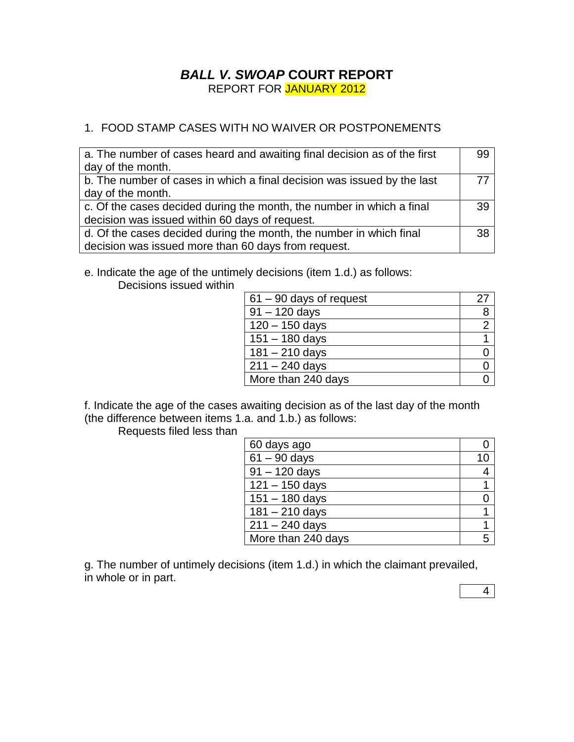## *BALL V. SWOAP* **COURT REPORT** REPORT FOR JANUARY 2012

## 1. FOOD STAMP CASES WITH NO WAIVER OR POSTPONEMENTS

| a. The number of cases heard and awaiting final decision as of the first<br>day of the month. | 99 |
|-----------------------------------------------------------------------------------------------|----|
| b. The number of cases in which a final decision was issued by the last                       | 77 |
| day of the month.                                                                             |    |
| c. Of the cases decided during the month, the number in which a final                         | 39 |
| decision was issued within 60 days of request.                                                |    |
| d. Of the cases decided during the month, the number in which final                           | 38 |
| decision was issued more than 60 days from request.                                           |    |

e. Indicate the age of the untimely decisions (item 1.d.) as follows:

Decisions issued within

| $61 - 90$ days of request | 27 |
|---------------------------|----|
| $91 - 120$ days           | 8  |
| $120 - 150$ days          |    |
| $151 - 180$ days          |    |
| $181 - 210$ days          |    |
| $211 - 240$ days          |    |
| More than 240 days        |    |

f. Indicate the age of the cases awaiting decision as of the last day of the month (the difference between items 1.a. and 1.b.) as follows:

Requests filed less than

| 60 days ago                |   |
|----------------------------|---|
| $\overline{61}$ – 90 days  |   |
| $\overline{9}1 - 120$ days | 4 |
| $121 - 150$ days           |   |
| $151 - 180$ days           |   |
| $181 - 210$ days           |   |
| $211 - 240$ days           |   |
| More than 240 days         |   |

g. The number of untimely decisions (item 1.d.) in which the claimant prevailed, in whole or in part.

4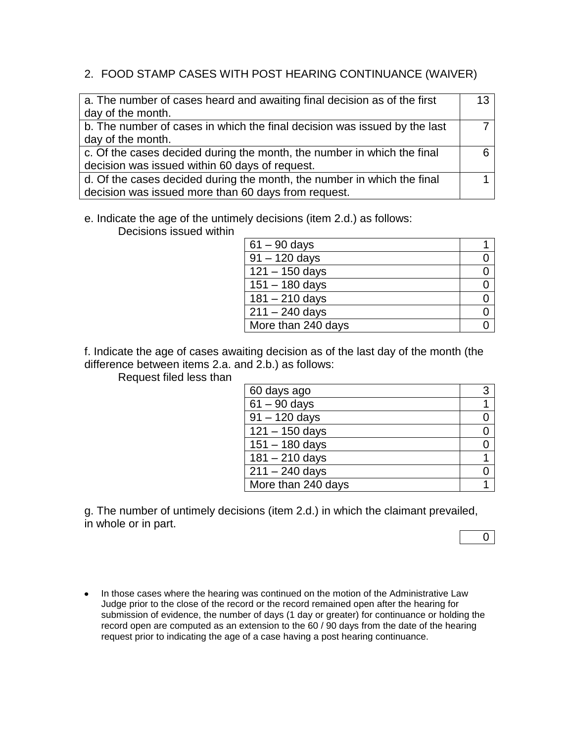## 2. FOOD STAMP CASES WITH POST HEARING CONTINUANCE (WAIVER)

| a. The number of cases heard and awaiting final decision as of the first  | 13 |
|---------------------------------------------------------------------------|----|
| day of the month.                                                         |    |
| b. The number of cases in which the final decision was issued by the last |    |
| day of the month.                                                         |    |
| c. Of the cases decided during the month, the number in which the final   |    |
| decision was issued within 60 days of request.                            |    |
| d. Of the cases decided during the month, the number in which the final   |    |
| decision was issued more than 60 days from request.                       |    |

e. Indicate the age of the untimely decisions (item 2.d.) as follows:

Decisions issued within

| $61 - 90$ days     |  |
|--------------------|--|
| $91 - 120$ days    |  |
| $121 - 150$ days   |  |
| $151 - 180$ days   |  |
| $181 - 210$ days   |  |
| $211 - 240$ days   |  |
| More than 240 days |  |

f. Indicate the age of cases awaiting decision as of the last day of the month (the difference between items 2.a. and 2.b.) as follows:

Request filed less than

| 60 days ago             | 3 |
|-------------------------|---|
| $61 - 90$ days          |   |
| $91 - 120$ days         |   |
| $121 - 150$ days        |   |
| $151 - 180$ days        |   |
| $181 - 210$ days        |   |
| $\sqrt{211} - 240$ days |   |
| More than 240 days      |   |

g. The number of untimely decisions (item 2.d.) in which the claimant prevailed, in whole or in part.

 $\overline{0}$ 

• In those cases where the hearing was continued on the motion of the Administrative Law Judge prior to the close of the record or the record remained open after the hearing for submission of evidence, the number of days (1 day or greater) for continuance or holding the record open are computed as an extension to the 60 / 90 days from the date of the hearing request prior to indicating the age of a case having a post hearing continuance.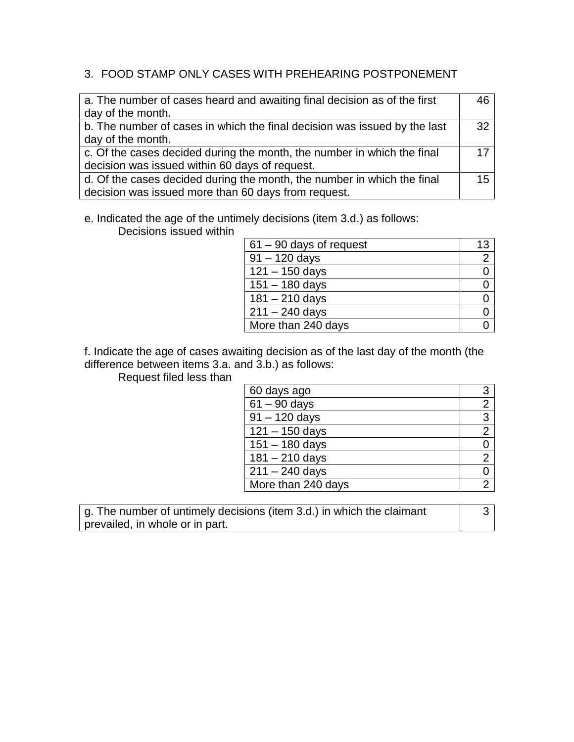## 3. FOOD STAMP ONLY CASES WITH PREHEARING POSTPONEMENT

| a. The number of cases heard and awaiting final decision as of the first  | 46 |
|---------------------------------------------------------------------------|----|
| day of the month.                                                         |    |
| b. The number of cases in which the final decision was issued by the last | 32 |
| day of the month.                                                         |    |
| c. Of the cases decided during the month, the number in which the final   | 17 |
| decision was issued within 60 days of request.                            |    |
| d. Of the cases decided during the month, the number in which the final   | 15 |
| decision was issued more than 60 days from request.                       |    |

# e. Indicated the age of the untimely decisions (item 3.d.) as follows:

Decisions issued within

| $61 - 90$ days of request | 13             |
|---------------------------|----------------|
| $91 - 120$ days           | $\overline{2}$ |
| $121 - 150$ days          |                |
| $151 - 180$ days          |                |
| $181 - 210$ days          |                |
| $211 - 240$ days          |                |
| More than 240 days        |                |

f. Indicate the age of cases awaiting decision as of the last day of the month (the difference between items 3.a. and 3.b.) as follows:

Request filed less than

| 60 days ago        | 3              |
|--------------------|----------------|
| $61 - 90$ days     | $\overline{2}$ |
| $91 - 120$ days    | 3              |
| $121 - 150$ days   | $\overline{2}$ |
| $151 - 180$ days   | 0              |
| $181 - 210$ days   | $\overline{2}$ |
| $211 - 240$ days   | 0              |
| More than 240 days |                |

g. The number of untimely decisions (item 3.d.) in which the claimant prevailed, in whole or in part.

3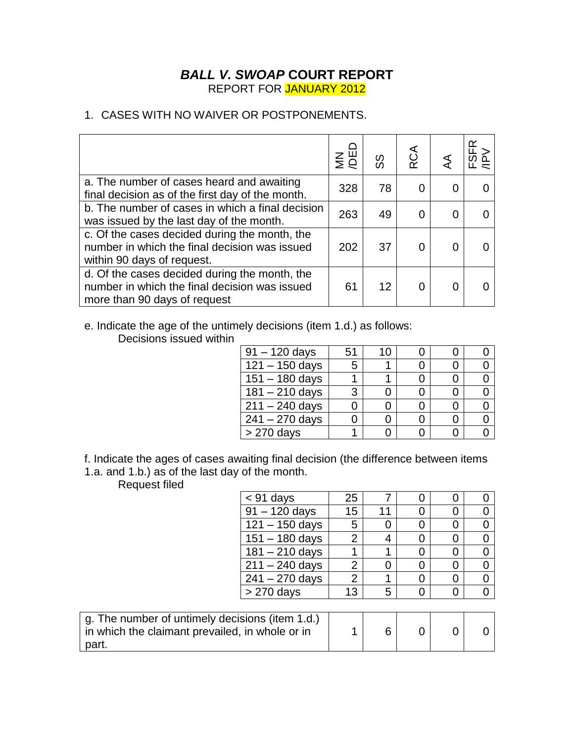### *BALL V. SWOAP* **COURT REPORT** REPORT FOR JANUARY 2012

## 1. CASES WITH NO WAIVER OR POSTPONEMENTS.

|                                                                                                                                | $\sum_{i=1}^{n}$ | တ္တ | <b>RCA</b> |   | ≃ |
|--------------------------------------------------------------------------------------------------------------------------------|------------------|-----|------------|---|---|
| a. The number of cases heard and awaiting<br>final decision as of the first day of the month.                                  | 328              | 78  |            |   |   |
| b. The number of cases in which a final decision<br>was issued by the last day of the month.                                   | 263              | 49  |            | 0 |   |
| c. Of the cases decided during the month, the<br>number in which the final decision was issued<br>within 90 days of request.   | 202              | 37  |            |   |   |
| d. Of the cases decided during the month, the<br>number in which the final decision was issued<br>more than 90 days of request | 61               | 12  |            |   |   |

e. Indicate the age of the untimely decisions (item 1.d.) as follows:

Decisions issued within

| $91 - 120$ days             | 51 | 1 ( ) |  |  |
|-----------------------------|----|-------|--|--|
| $\overline{121} - 150$ days | 5  |       |  |  |
| $151 - 180$ days            |    |       |  |  |
| $181 - 210$ days            | 3  |       |  |  |
| $211 - 240$ days            |    |       |  |  |
| $241 - 270$ days            |    |       |  |  |
| $> 270$ days                |    |       |  |  |

f. Indicate the ages of cases awaiting final decision (the difference between items 1.a. and 1.b.) as of the last day of the month.

Request filed

| <b>Neddest Illed</b>                            |                  |                |    |   |          |          |
|-------------------------------------------------|------------------|----------------|----|---|----------|----------|
|                                                 | $<$ 91 days      | 25             |    | 0 | 0        | 0        |
|                                                 | $91 - 120$ days  | 15             | 11 | 0 | 0        | 0        |
|                                                 | $121 - 150$ days | 5              | 0  | 0 | $\Omega$ | 0        |
|                                                 | $151 - 180$ days | $\overline{2}$ | 4  | 0 | 0        | 0        |
|                                                 | $181 - 210$ days | 1              |    | 0 | 0        | 0        |
|                                                 | $211 - 240$ days | 2              | 0  | 0 | $\Omega$ | 0        |
|                                                 | $241 - 270$ days | $\overline{2}$ |    | 0 | $\Omega$ | $\Omega$ |
|                                                 | $> 270$ days     | 13             | 5  | 0 | 0        | $\Omega$ |
|                                                 |                  |                |    |   |          |          |
| g. The number of untimely decisions (item 1.d.) |                  |                |    |   |          |          |
| in which the claimant prevailed, in whole or in |                  |                | 6  | 0 | 0        | 0        |
| part.                                           |                  |                |    |   |          |          |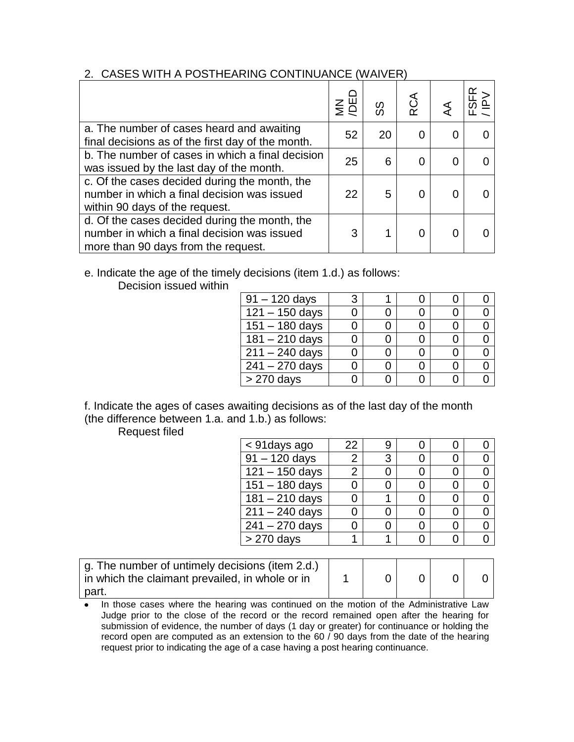#### 2. CASES WITH A POSTHEARING CONTINUANCE (WAIVER)

|                                                                                                                                     | $\epsilon$ | တ္တ | RCA |  |
|-------------------------------------------------------------------------------------------------------------------------------------|------------|-----|-----|--|
| a. The number of cases heard and awaiting<br>final decisions as of the first day of the month.                                      | 52         | 20  |     |  |
| b. The number of cases in which a final decision<br>was issued by the last day of the month.                                        | 25         | 6   |     |  |
| c. Of the cases decided during the month, the<br>number in which a final decision was issued<br>within 90 days of the request.      | 22         | 5   |     |  |
| d. Of the cases decided during the month, the<br>number in which a final decision was issued<br>more than 90 days from the request. | 3          |     |     |  |

## e. Indicate the age of the timely decisions (item 1.d.) as follows:

Decision issued within

| $91 - 120$ days  |  |  |  |
|------------------|--|--|--|
| $121 - 150$ days |  |  |  |
| $151 - 180$ days |  |  |  |
| $181 - 210$ days |  |  |  |
| $211 - 240$ days |  |  |  |
| $241 - 270$ days |  |  |  |
| > 270 days       |  |  |  |

f. Indicate the ages of cases awaiting decisions as of the last day of the month (the difference between 1.a. and 1.b.) as follows:

Request filed

| < 91 days ago           | 22 |   |  |  |
|-------------------------|----|---|--|--|
| $91 - 120$ days         | 2  | 3 |  |  |
| $121 - 150$ days        | 2  |   |  |  |
| $151 - 180$ days        |    |   |  |  |
| $181 - 210$ days        |    |   |  |  |
| $\sqrt{211} - 240$ days |    |   |  |  |
| $241 - 270$ days        |    |   |  |  |
| $> 270$ days            |    |   |  |  |

| g. The number of untimely decisions (item 2.d.)<br>in which the claimant prevailed, in whole or in |  |  |  |
|----------------------------------------------------------------------------------------------------|--|--|--|
| part.                                                                                              |  |  |  |

• In those cases where the hearing was continued on the motion of the Administrative Law Judge prior to the close of the record or the record remained open after the hearing for submission of evidence, the number of days (1 day or greater) for continuance or holding the record open are computed as an extension to the 60 / 90 days from the date of the hearing request prior to indicating the age of a case having a post hearing continuance.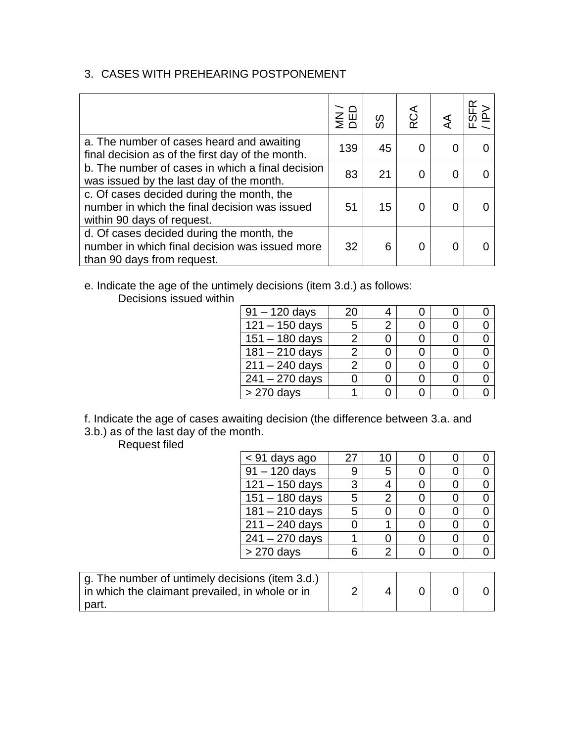## 3. CASES WITH PREHEARING POSTPONEMENT

|                                                                                                                           | $rac{1}{2}$ $rac{1}{2}$ | တ္တ | RCA |   |  |
|---------------------------------------------------------------------------------------------------------------------------|-------------------------|-----|-----|---|--|
| a. The number of cases heard and awaiting<br>final decision as of the first day of the month.                             | 139                     | 45  |     |   |  |
| b. The number of cases in which a final decision<br>was issued by the last day of the month.                              | 83                      | 21  |     | 0 |  |
| c. Of cases decided during the month, the<br>number in which the final decision was issued<br>within 90 days of request.  | 51                      | 15  |     |   |  |
| d. Of cases decided during the month, the<br>number in which final decision was issued more<br>than 90 days from request. | 32                      | 6   |     |   |  |

e. Indicate the age of the untimely decisions (item 3.d.) as follows: Decisions issued within

| $91 - 120$ days         | 20 |  |  |
|-------------------------|----|--|--|
| $\sqrt{121} - 150$ days | 5  |  |  |
| $151 - 180$ days        |    |  |  |
| $181 - 210$ days        | 2  |  |  |
| $211 - 240$ days        | 2  |  |  |
| $241 - 270$ days        |    |  |  |
| > 270 days              |    |  |  |

f. Indicate the age of cases awaiting decision (the difference between 3.a. and 3.b.) as of the last day of the month.

Request filed

| < 91 days ago                | 27 | 10             |  |  |
|------------------------------|----|----------------|--|--|
| $\overline{91}$ – 120 days   | 9  | 5              |  |  |
| $121 - 150$ days             | 3  | 4              |  |  |
| $151 - 180$ days             | 5  | $\overline{2}$ |  |  |
| $181 - 210$ days             | 5  |                |  |  |
| $211 - 240$ days             | 0  |                |  |  |
| $241 - 270$ days             |    |                |  |  |
| $> 270$ days                 | 6  | 2              |  |  |
|                              |    |                |  |  |
| timely decisions (item 3.d.) |    |                |  |  |

| g. The number of untimely decisions (item 3.d.) |  |  |  |
|-------------------------------------------------|--|--|--|
| in which the claimant prevailed, in whole or in |  |  |  |
| part.                                           |  |  |  |